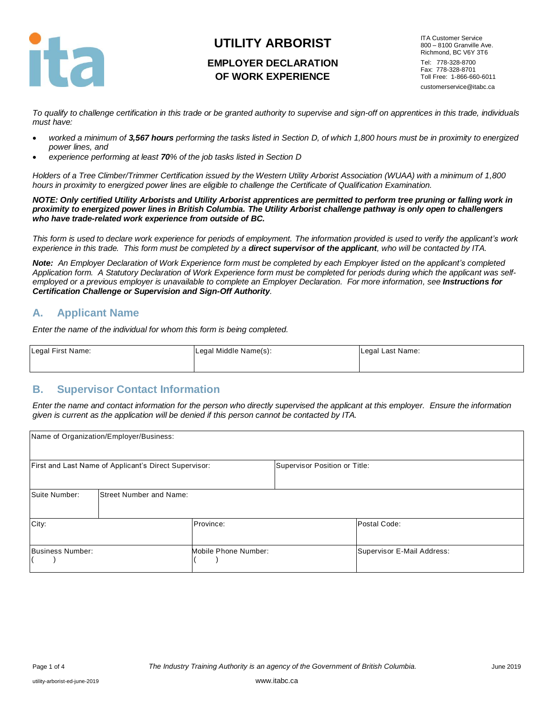

# **UTILITY ARBORIST EMPLOYER DECLARATION OF WORK EXPERIENCE**

ITA Customer Service 800 – 8100 Granville Ave. Richmond, BC V6Y 3T6 Tel: 778-328-8700 Fax: 778-328-8701 Toll Free: 1-866-660-6011 customerservice@itabc.ca

*To qualify to challenge certification in this trade or be granted authority to supervise and sign-off on apprentices in this trade, individuals must have:*

- *worked a minimum of 3,567 hours performing the tasks listed in Section D, of which 1,800 hours must be in proximity to energized power lines, and*
- *experience performing at least 70% of the job tasks listed in Section D*

*Holders of a Tree Climber/Trimmer Certification issued by the Western Utility Arborist Association (WUAA) with a minimum of 1,800 hours in proximity to energized power lines are eligible to challenge the Certificate of Qualification Examination.* 

*NOTE: Only certified Utility Arborists and Utility Arborist apprentices are permitted to perform tree pruning or falling work in proximity to energized power lines in British Columbia. The Utility Arborist challenge pathway is only open to challengers who have trade-related work experience from outside of BC.*

*This form is used to declare work experience for periods of employment. The information provided is used to verify the applicant's work experience in this trade. This form must be completed by a direct supervisor of the applicant, who will be contacted by ITA.*

*Note: An Employer Declaration of Work Experience form must be completed by each Employer listed on the applicant's completed Application form. A Statutory Declaration of Work Experience form must be completed for periods during which the applicant was selfemployed or a previous employer is unavailable to complete an Employer Declaration. For more information, see Instructions for Certification Challenge or Supervision and Sign-Off Authority.*

### **A. Applicant Name**

*Enter the name of the individual for whom this form is being completed.*

| Legal First Name: | Legal Middle Name(s): | Legal Last Name: |
|-------------------|-----------------------|------------------|
|                   |                       |                  |

### **B. Supervisor Contact Information**

*Enter the name and contact information for the person who directly supervised the applicant at this employer. Ensure the information given is current as the application will be denied if this person cannot be contacted by ITA.*

|                  | Name of Organization/Employer/Business:               |                      |                               |                            |
|------------------|-------------------------------------------------------|----------------------|-------------------------------|----------------------------|
|                  | First and Last Name of Applicant's Direct Supervisor: |                      | Supervisor Position or Title: |                            |
| Suite Number:    | <b>Street Number and Name:</b>                        |                      |                               |                            |
| City:            |                                                       | Province:            |                               | Postal Code:               |
| Business Number: |                                                       | Mobile Phone Number: |                               | Supervisor E-Mail Address: |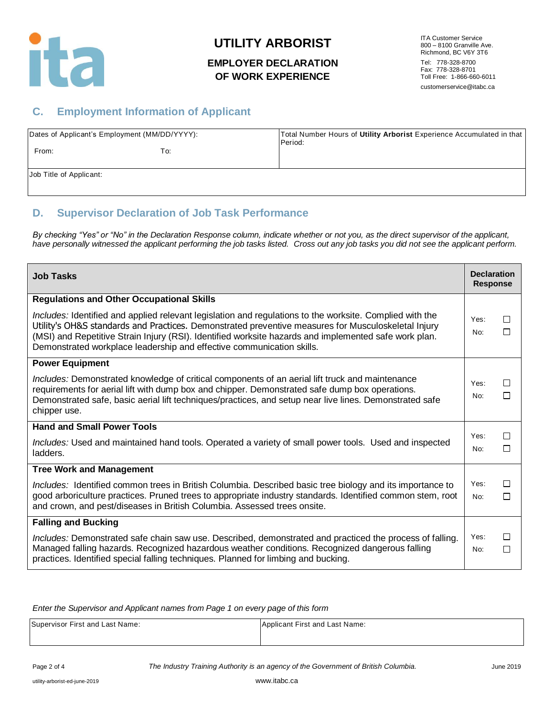

## **UTILITY ARBORIST**

### **EMPLOYER DECLARATION OF WORK EXPERIENCE**

ITA Customer Service 800 – 8100 Granville Ave. Richmond, BC V6Y 3T6 Tel: 778-328-8700 Fax: 778-328-8701 Toll Free: 1-866-660-6011 customerservice@itabc.ca

### **C. Employment Information of Applicant**

|                         | Dates of Applicant's Employment (MM/DD/YYYY): | Total Number Hours of Utility Arborist Experience Accumulated in that<br>Period: |
|-------------------------|-----------------------------------------------|----------------------------------------------------------------------------------|
| From:                   | To:                                           |                                                                                  |
| Job Title of Applicant: |                                               |                                                                                  |

### **D. Supervisor Declaration of Job Task Performance**

*By checking "Yes" or "No" in the Declaration Response column, indicate whether or not you, as the direct supervisor of the applicant, have personally witnessed the applicant performing the job tasks listed. Cross out any job tasks you did not see the applicant perform.*

| <b>Job Tasks</b>                                                                                                                                                                                                                                                                                                                                                                                  | <b>Declaration</b><br><b>Response</b> |                     |
|---------------------------------------------------------------------------------------------------------------------------------------------------------------------------------------------------------------------------------------------------------------------------------------------------------------------------------------------------------------------------------------------------|---------------------------------------|---------------------|
| <b>Regulations and Other Occupational Skills</b>                                                                                                                                                                                                                                                                                                                                                  |                                       |                     |
| Includes: Identified and applied relevant legislation and regulations to the worksite. Complied with the<br>Utility's OH&S standards and Practices. Demonstrated preventive measures for Musculoskeletal Injury<br>(MSI) and Repetitive Strain Injury (RSI). Identified worksite hazards and implemented safe work plan.<br>Demonstrated workplace leadership and effective communication skills. | Yes:<br>No:                           | □<br>П              |
| <b>Power Equipment</b>                                                                                                                                                                                                                                                                                                                                                                            |                                       |                     |
| Includes: Demonstrated knowledge of critical components of an aerial lift truck and maintenance<br>requirements for aerial lift with dump box and chipper. Demonstrated safe dump box operations.<br>Demonstrated safe, basic aerial lift techniques/practices, and setup near live lines. Demonstrated safe<br>chipper use.                                                                      | Yes:<br>No:                           | П<br>П              |
| <b>Hand and Small Power Tools</b>                                                                                                                                                                                                                                                                                                                                                                 |                                       |                     |
| Includes: Used and maintained hand tools. Operated a variety of small power tools. Used and inspected<br>ladders.                                                                                                                                                                                                                                                                                 | Yes:<br>No:                           | $\mathbb{R}^n$<br>П |
| <b>Tree Work and Management</b>                                                                                                                                                                                                                                                                                                                                                                   |                                       |                     |
| Includes: Identified common trees in British Columbia. Described basic tree biology and its importance to<br>good arboriculture practices. Pruned trees to appropriate industry standards. Identified common stem, root<br>and crown, and pest/diseases in British Columbia. Assessed trees onsite.                                                                                               | Yes:<br>No:                           | □<br>П              |
| <b>Falling and Bucking</b>                                                                                                                                                                                                                                                                                                                                                                        |                                       |                     |
| Includes: Demonstrated safe chain saw use. Described, demonstrated and practiced the process of falling.<br>Managed falling hazards. Recognized hazardous weather conditions. Recognized dangerous falling<br>practices. Identified special falling techniques. Planned for limbing and bucking.                                                                                                  | Yes:<br>No:                           | □<br>$\Box$         |

*Enter the Supervisor and Applicant names from Page 1 on every page of this form*

| Supervisor First and Last Name: | Applicant First and Last Name: |
|---------------------------------|--------------------------------|
|                                 |                                |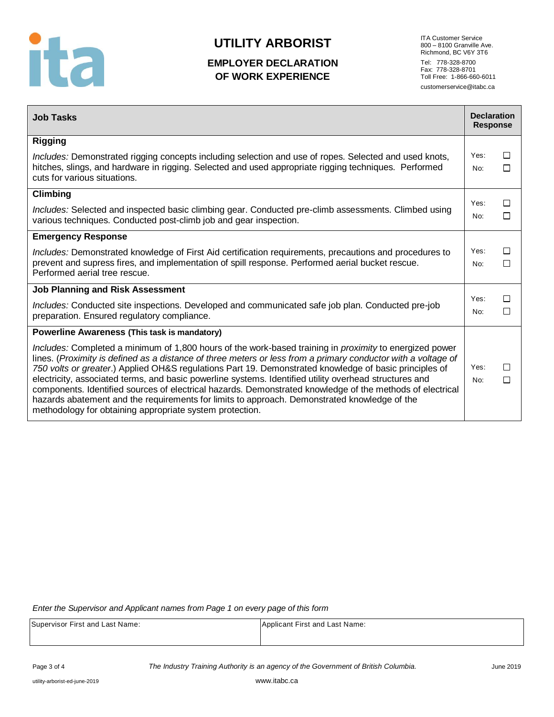

# **UTILITY ARBORIST**

### **EMPLOYER DECLARATION OF WORK EXPERIENCE**

ITA Customer Service 800 – 8100 Granville Ave. Richmond, BC V6Y 3T6 Tel: 778-328-8700 Fax: 778-328-8701 Toll Free: 1-866-660-6011 customerservice@itabc.ca

| <b>Job Tasks</b>                                                                                                                                                                                                                                                                                                                                                                                                                                                                                                                                                                                                                                                                                                             | <b>Declaration</b><br><b>Response</b> |        |
|------------------------------------------------------------------------------------------------------------------------------------------------------------------------------------------------------------------------------------------------------------------------------------------------------------------------------------------------------------------------------------------------------------------------------------------------------------------------------------------------------------------------------------------------------------------------------------------------------------------------------------------------------------------------------------------------------------------------------|---------------------------------------|--------|
| <b>Rigging</b>                                                                                                                                                                                                                                                                                                                                                                                                                                                                                                                                                                                                                                                                                                               |                                       |        |
| Includes: Demonstrated rigging concepts including selection and use of ropes. Selected and used knots,<br>hitches, slings, and hardware in rigging. Selected and used appropriate rigging techniques. Performed<br>cuts for various situations.                                                                                                                                                                                                                                                                                                                                                                                                                                                                              | Yes:<br>No:                           | П<br>П |
| Climbing                                                                                                                                                                                                                                                                                                                                                                                                                                                                                                                                                                                                                                                                                                                     |                                       |        |
| Includes: Selected and inspected basic climbing gear. Conducted pre-climb assessments. Climbed using<br>various techniques. Conducted post-climb job and gear inspection.                                                                                                                                                                                                                                                                                                                                                                                                                                                                                                                                                    | Yes:<br>No:                           | □<br>□ |
| <b>Emergency Response</b>                                                                                                                                                                                                                                                                                                                                                                                                                                                                                                                                                                                                                                                                                                    |                                       |        |
| Includes: Demonstrated knowledge of First Aid certification requirements, precautions and procedures to<br>prevent and supress fires, and implementation of spill response. Performed aerial bucket rescue.<br>Performed aerial tree rescue.                                                                                                                                                                                                                                                                                                                                                                                                                                                                                 | Yes:<br>No:                           | □<br>П |
| <b>Job Planning and Risk Assessment</b>                                                                                                                                                                                                                                                                                                                                                                                                                                                                                                                                                                                                                                                                                      |                                       |        |
| Includes: Conducted site inspections. Developed and communicated safe job plan. Conducted pre-job<br>preparation. Ensured regulatory compliance.                                                                                                                                                                                                                                                                                                                                                                                                                                                                                                                                                                             | Yes:<br>No:                           | □<br>П |
| <b>Powerline Awareness (This task is mandatory)</b>                                                                                                                                                                                                                                                                                                                                                                                                                                                                                                                                                                                                                                                                          |                                       |        |
| Includes: Completed a minimum of 1,800 hours of the work-based training in <i>proximity</i> to energized power<br>lines. (Proximity is defined as a distance of three meters or less from a primary conductor with a voltage of<br>750 volts or greater.) Applied OH&S regulations Part 19. Demonstrated knowledge of basic principles of<br>electricity, associated terms, and basic powerline systems. Identified utility overhead structures and<br>components. Identified sources of electrical hazards. Demonstrated knowledge of the methods of electrical<br>hazards abatement and the requirements for limits to approach. Demonstrated knowledge of the<br>methodology for obtaining appropriate system protection. | Yes:<br>No:                           | П<br>П |

*Enter the Supervisor and Applicant names from Page 1 on every page of this form*

| Supervisor First and Last Name: | Applicant First and Last Name: |
|---------------------------------|--------------------------------|
|                                 |                                |